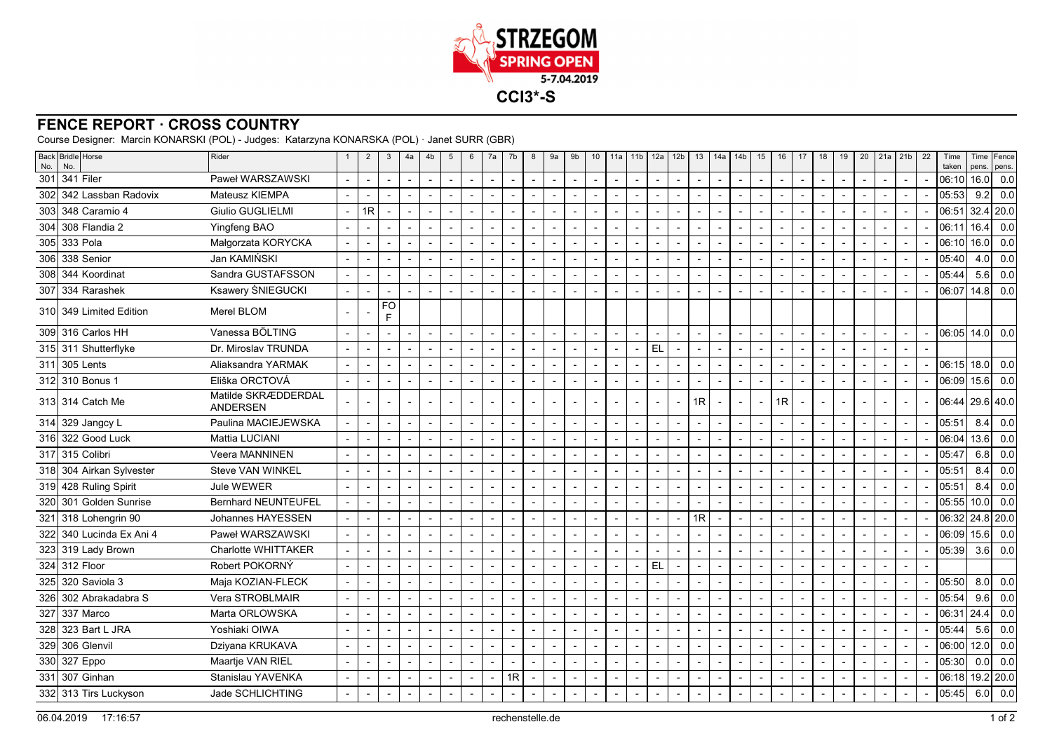

## **FENCE REPORT · CROSS COUNTRY**

Course Designer: Marcin KONARSKI (POL) - Judges: Katarzyna KONARSKA (POL) · Janet SURR (GBR)

| No. | Back Bridle Horse<br>No. | Rider                                  |                          | $\overline{2}$ | 3                        | 4a                       | 4b                       | 5                        | 6                        | 7a                       | 7b                       | 8                        | 9a                       | 9b                       | 10                       | 11a                      | 11 <sub>b</sub> | 12a            | 12 <sub>b</sub>          | 13                       | 14a                      | 14 <sub>b</sub>          | 15                       | 16                       | 17             | 18                       | 19                       | 20                       | 21a                      | 21b            | 22 | Time<br>taken | Time<br>pens. | Fence<br>pens. |
|-----|--------------------------|----------------------------------------|--------------------------|----------------|--------------------------|--------------------------|--------------------------|--------------------------|--------------------------|--------------------------|--------------------------|--------------------------|--------------------------|--------------------------|--------------------------|--------------------------|-----------------|----------------|--------------------------|--------------------------|--------------------------|--------------------------|--------------------------|--------------------------|----------------|--------------------------|--------------------------|--------------------------|--------------------------|----------------|----|---------------|---------------|----------------|
|     | 301 341 Filer            | Paweł WARSZAWSKI                       |                          |                |                          | $\overline{\phantom{a}}$ |                          |                          |                          |                          |                          |                          |                          | $\overline{\phantom{a}}$ | $\sim$                   | $\blacksquare$           |                 |                | $\overline{\phantom{a}}$ |                          | $\blacksquare$           |                          |                          | $\blacksquare$           |                | $\overline{\phantom{a}}$ |                          | $\sim$                   |                          |                |    | 06:10         | 16.0          | 0.0            |
| 302 | 342 Lassban Radovix      | Mateusz KIEMPA                         |                          |                |                          | $\overline{a}$           | $\overline{a}$           |                          |                          | $\overline{a}$           | $\overline{\phantom{a}}$ |                          | $\blacksquare$           | $\overline{a}$           | $\sim$                   | $\overline{\phantom{a}}$ |                 |                | $\overline{\phantom{a}}$ | $\overline{a}$           | $\overline{\phantom{a}}$ |                          | $\overline{a}$           | $\overline{a}$           |                | $\overline{\phantom{a}}$ |                          |                          | $\overline{a}$           |                |    | 05:53         | 9.2           | 0.0            |
| 303 | 348 Caramio 4            | <b>Giulio GUGLIELMI</b>                | $\overline{\phantom{a}}$ | 1R             |                          | $\overline{\phantom{a}}$ |                          |                          |                          |                          |                          |                          | $\blacksquare$           | $\overline{\phantom{a}}$ |                          | $\overline{\phantom{a}}$ |                 |                | $\blacksquare$           | $\overline{\phantom{a}}$ |                          |                          | $\overline{\phantom{a}}$ |                          |                |                          | $\overline{\phantom{a}}$ |                          | $\blacksquare$           |                |    | 06:51         | 32.4          | 20.0           |
|     | 304 308 Flandia 2        | Yingfeng BAO                           |                          |                |                          | $\overline{\phantom{a}}$ |                          |                          |                          | $\blacksquare$           |                          |                          | $\blacksquare$           | $\overline{\phantom{a}}$ | $\overline{\phantom{a}}$ | $\overline{\phantom{a}}$ |                 |                | $\overline{\phantom{a}}$ | $\blacksquare$           |                          |                          |                          |                          |                |                          | $\overline{\phantom{a}}$ | $\overline{\phantom{a}}$ | $\blacksquare$           |                |    | 06:11         | 16.4          | 0.0            |
|     | 305 333 Pola             | Małgorzata KORYCKA                     |                          |                |                          | $\overline{\phantom{a}}$ |                          |                          |                          |                          |                          |                          | $\overline{a}$           |                          |                          | $\blacksquare$           |                 |                | $\overline{a}$           |                          |                          |                          |                          |                          |                |                          |                          |                          |                          |                |    | 06:10         | 16.0          | 0.0            |
|     | 306 338 Senior           | Jan KAMIŃSKI                           | $\sim$                   |                |                          | $\overline{\phantom{a}}$ |                          |                          | $\blacksquare$           |                          | $\blacksquare$           |                          | $\blacksquare$           | $\blacksquare$           |                          | $\overline{\phantom{a}}$ |                 |                | $\overline{\phantom{a}}$ |                          | $\blacksquare$           |                          | $\overline{\phantom{a}}$ |                          |                |                          |                          |                          |                          |                |    | 05:40         | 4.0           | 0.0            |
|     | 308 344 Koordinat        | Sandra GUSTAFSSON                      |                          |                |                          | $\overline{\phantom{a}}$ | $\blacksquare$           |                          |                          |                          | $\overline{a}$           |                          | $\overline{\phantom{a}}$ | $\blacksquare$           | $\overline{\phantom{a}}$ | $\sim$                   |                 |                | $\overline{\phantom{a}}$ | $\blacksquare$           | $\blacksquare$           |                          |                          | $\overline{\phantom{a}}$ |                | $\overline{\phantom{a}}$ |                          | $\overline{\phantom{a}}$ |                          |                |    | 05:44         | 5.6           | 0.0            |
|     | 307 334 Rarashek         | Ksawery ŚNIEGUCKI                      |                          |                | $\overline{\phantom{a}}$ |                          | $\blacksquare$           |                          |                          | $\blacksquare$           |                          |                          |                          | $\blacksquare$           | $\overline{\phantom{a}}$ | $\overline{\phantom{a}}$ |                 |                | $\overline{\phantom{a}}$ | ٠                        | $\blacksquare$           |                          |                          |                          |                | $\blacksquare$           |                          |                          |                          |                |    | 06:07         | 14.8          | 0.0            |
|     | 310 349 Limited Edition  | Merel BLOM                             |                          |                | FO<br>F.                 |                          |                          |                          |                          |                          |                          |                          |                          |                          |                          |                          |                 |                |                          |                          |                          |                          |                          |                          |                |                          |                          |                          |                          |                |    |               |               |                |
|     | 309 316 Carlos HH        | Vanessa BÖLTING                        | $\overline{\phantom{a}}$ |                |                          | $\overline{\phantom{a}}$ | $\blacksquare$           |                          | $\sim$                   | $\blacksquare$           | $\blacksquare$           |                          | $\blacksquare$           | $\overline{a}$           | $\overline{\phantom{a}}$ | $\sim$                   |                 | $\blacksquare$ | $\overline{\phantom{a}}$ | $\overline{\phantom{a}}$ | $\overline{\phantom{a}}$ | $\blacksquare$           | $\overline{\phantom{a}}$ | $\blacksquare$           |                | $\blacksquare$           |                          | $\sim$                   | $\sim$                   | $\overline{a}$ |    | 06:05         | 14.0          | 0.0            |
|     | 315 311 Shutterflyke     | Dr. Miroslav TRUNDA                    |                          |                |                          | $\overline{\phantom{a}}$ | $\overline{\phantom{a}}$ |                          | $\overline{\phantom{a}}$ | $\overline{\phantom{a}}$ | $\blacksquare$           |                          | $\overline{\phantom{a}}$ | $\overline{\phantom{a}}$ | $\blacksquare$           | $\blacksquare$           |                 | <b>EL</b>      | $\overline{\phantom{a}}$ | $\overline{a}$           | $\blacksquare$           |                          | $\blacksquare$           | $\blacksquare$           |                | $\blacksquare$           |                          | $\blacksquare$           | $\overline{\phantom{a}}$ |                |    |               |               |                |
|     | 311 305 Lents            | Aliaksandra YARMAK                     | $\overline{\phantom{a}}$ |                |                          | $\overline{\phantom{a}}$ | $\blacksquare$           |                          |                          | $\blacksquare$           | $\blacksquare$           |                          |                          | $\blacksquare$           | $\overline{\phantom{a}}$ | $\sim$                   |                 |                | $\overline{\phantom{a}}$ | $\blacksquare$           | $\overline{\phantom{a}}$ |                          | $\blacksquare$           | $\overline{\phantom{a}}$ |                | $\overline{\phantom{a}}$ |                          | $\overline{\phantom{a}}$ | $\overline{\phantom{a}}$ |                |    | 06:15         | 18.0          | 0.0            |
|     | 312 310 Bonus 1          | Eliška ORCTOVÁ                         | $\overline{\phantom{a}}$ |                |                          | $\overline{\phantom{a}}$ | $\overline{a}$           |                          | $\overline{\phantom{a}}$ | $\overline{a}$           | $\blacksquare$           |                          | $\blacksquare$           | $\blacksquare$           | $\overline{a}$           | $\overline{\phantom{a}}$ |                 |                | $\overline{\phantom{a}}$ | $\blacksquare$           | $\blacksquare$           | $\overline{\phantom{a}}$ | $\overline{\phantom{a}}$ | $\blacksquare$           |                | $\blacksquare$           | $\overline{\phantom{a}}$ |                          | $\sim$                   |                |    | 06:09         | 15.6          | 0.0            |
|     | 313 314 Catch Me         | Matilde SKRÆDDERDAL<br><b>ANDERSEN</b> |                          |                |                          |                          |                          |                          |                          | $\blacksquare$           |                          |                          |                          | $\overline{\phantom{a}}$ | $\overline{\phantom{a}}$ | $\sim$                   |                 |                | $\overline{\phantom{a}}$ | 1R                       | $\blacksquare$           |                          | $\overline{\phantom{a}}$ | 1R                       |                |                          |                          |                          | $\blacksquare$           |                |    | 06:44         |               | $29.6$ 40.0    |
|     | 314 329 Jangcy L         | Paulina MACIEJEWSKA                    |                          |                |                          | $\overline{\phantom{a}}$ | $\blacksquare$           | $\blacksquare$           | $\blacksquare$           | $\blacksquare$           | $\blacksquare$           |                          | $\overline{\phantom{a}}$ | $\overline{\phantom{a}}$ | $\overline{\phantom{a}}$ | $\overline{\phantom{a}}$ |                 |                | $\overline{\phantom{a}}$ | $\overline{\phantom{a}}$ | $\blacksquare$           |                          | $\overline{\phantom{a}}$ | $\blacksquare$           |                | $\blacksquare$           |                          | $\sim$                   | $\sim$                   |                |    | 05:51         | 8.4           | 0.0            |
|     | 316 322 Good Luck        | Mattia LUCIANI                         |                          |                |                          | $\overline{\phantom{a}}$ | $\blacksquare$           |                          |                          | $\blacksquare$           |                          |                          |                          | $\blacksquare$           | $\overline{\phantom{a}}$ | $\overline{\phantom{a}}$ |                 |                | $\overline{\phantom{a}}$ | $\blacksquare$           | $\blacksquare$           |                          |                          | $\blacksquare$           |                | $\overline{\phantom{a}}$ |                          |                          |                          |                |    | 06:04         | 13.6          | 0.0            |
|     | 317 315 Colibri          | Veera MANNINEN                         |                          |                |                          | $\overline{\phantom{a}}$ |                          |                          |                          |                          | $\blacksquare$           |                          | $\blacksquare$           | $\blacksquare$           |                          | $\overline{\phantom{a}}$ |                 |                | $\blacksquare$           |                          |                          |                          |                          | $\blacksquare$           |                | $\blacksquare$           |                          |                          |                          |                |    | 05:47         | 6.8           | 0.0            |
|     | 318 304 Airkan Sylvester | Steve VAN WINKEL                       |                          |                |                          | $\sim$                   |                          |                          |                          | $\blacksquare$           |                          |                          | $\blacksquare$           | $\overline{a}$           | $\overline{a}$           | $\blacksquare$           |                 |                | $\overline{\phantom{a}}$ | $\blacksquare$           |                          |                          | $\overline{\phantom{a}}$ |                          |                | $\blacksquare$           | $\overline{\phantom{a}}$ | $\overline{a}$           | $\blacksquare$           |                |    | 05:51         | 8.4           | 0.0            |
|     | 319 428 Ruling Spirit    | Jule WEWER                             | $\sim$                   |                |                          | $\blacksquare$           |                          |                          |                          |                          |                          |                          | $\blacksquare$           |                          |                          | $\blacksquare$           |                 |                |                          | $\overline{a}$           |                          |                          |                          |                          |                |                          |                          |                          |                          |                |    | 05:51         | 8.4           | 0.0            |
|     | 320 301 Golden Sunrise   | <b>Bernhard NEUNTEUFEL</b>             | $\sim$                   |                |                          | $\overline{\phantom{a}}$ |                          |                          |                          | $\overline{\phantom{a}}$ | $\overline{\phantom{a}}$ |                          | $\overline{\phantom{a}}$ | $\overline{a}$           |                          | $\sim$                   |                 |                |                          |                          |                          |                          | $\overline{a}$           | $\overline{\phantom{a}}$ |                |                          |                          |                          | $\overline{a}$           |                |    | 05:55         | 10.0          | 0.0            |
|     | 321 318 Lohengrin 90     | Johannes HAYESSEN                      |                          |                |                          | $\overline{a}$           |                          |                          |                          |                          |                          |                          |                          | $\overline{a}$           |                          | $\overline{\phantom{a}}$ |                 |                | $\overline{\phantom{a}}$ | 1R                       |                          |                          |                          |                          |                |                          |                          |                          |                          |                |    | 06:32         |               | $24.8$ 20.0    |
|     | 322 340 Lucinda Ex Ani 4 | Paweł WARSZAWSKI                       |                          |                |                          | $\overline{\phantom{a}}$ |                          |                          |                          | $\blacksquare$           |                          |                          |                          | $\blacksquare$           | $\blacksquare$           | $\sim$                   |                 |                | $\overline{\phantom{a}}$ |                          | $\blacksquare$           |                          |                          | $\blacksquare$           |                | $\overline{\phantom{a}}$ |                          | $\overline{\phantom{a}}$ |                          |                |    | 06:09         | 15.6          | 0.0            |
|     | 323 319 Lady Brown       | Charlotte WHITTAKER                    |                          |                |                          | $\overline{\phantom{a}}$ | $\overline{a}$           |                          |                          | $\blacksquare$           | $\overline{\phantom{0}}$ |                          | $\overline{\phantom{a}}$ | $\overline{\phantom{a}}$ | $\sim$                   | $\overline{\phantom{a}}$ |                 |                | $\overline{\phantom{a}}$ | $\overline{a}$           | $\overline{a}$           |                          | $\overline{a}$           | $\overline{\phantom{a}}$ |                | $\overline{\phantom{a}}$ |                          |                          | $\sim$                   |                |    | 05:39         | 3.6           | 0.0            |
|     | 324 312 Floor            | Robert POKORNÝ                         |                          |                |                          | $\overline{\phantom{a}}$ |                          |                          |                          |                          |                          |                          | $\blacksquare$           |                          |                          | $\blacksquare$           |                 | EL             |                          |                          |                          |                          | $\overline{\phantom{a}}$ |                          |                |                          |                          |                          | $\blacksquare$           |                |    |               |               |                |
| 325 | 320 Saviola 3            | Maja KOZIAN-FLECK                      |                          |                |                          | $\overline{\phantom{a}}$ |                          | $\blacksquare$           |                          | $\blacksquare$           | $\blacksquare$           |                          | $\blacksquare$           | $\overline{\phantom{a}}$ | $\overline{\phantom{a}}$ | $\blacksquare$           |                 |                | $\blacksquare$           | $\blacksquare$           | $\blacksquare$           |                          | $\overline{\phantom{a}}$ | $\blacksquare$           | $\blacksquare$ | $\blacksquare$           | $\overline{\phantom{a}}$ | $\overline{\phantom{a}}$ | $\blacksquare$           |                |    | 05:50         | 8.0           | 0.0            |
|     | 326 302 Abrakadabra S    | Vera STROBLMAIR                        |                          |                |                          | $\overline{a}$           |                          |                          |                          |                          |                          |                          | $\overline{a}$           |                          |                          | $\overline{a}$           |                 |                | $\overline{a}$           |                          |                          |                          |                          |                          |                |                          |                          |                          |                          |                |    | 05:54         | 9.6           | 0.0            |
|     | 327 337 Marco            | Marta ORLOWSKA                         | $\overline{\phantom{a}}$ |                |                          | $\overline{\phantom{a}}$ | $\blacksquare$           |                          | $\blacksquare$           |                          | $\blacksquare$           |                          | $\blacksquare$           | $\blacksquare$           | $\overline{\phantom{a}}$ | $\blacksquare$           |                 |                | $\overline{\phantom{a}}$ | $\blacksquare$           | $\blacksquare$           |                          | $\overline{\phantom{a}}$ | $\blacksquare$           |                | $\blacksquare$           |                          | $\overline{\phantom{a}}$ | $\blacksquare$           |                |    | 06:31         | 24.4          | 0.0            |
|     | 328 323 Bart L JRA       | Yoshiaki OIWA                          |                          |                | $\overline{\phantom{a}}$ | $\sim$                   | $\blacksquare$           | $\overline{\phantom{0}}$ | $\overline{\phantom{a}}$ | $\overline{\phantom{a}}$ | $\blacksquare$           | $\overline{\phantom{a}}$ | $\blacksquare$           | $\blacksquare$           | $\overline{\phantom{a}}$ | $\blacksquare$           |                 |                | $\overline{\phantom{a}}$ | $\overline{\phantom{a}}$ | $\sim$                   |                          | $\overline{\phantom{a}}$ | $\blacksquare$           | $\overline{a}$ | $\sim$                   |                          | $\sim$                   | $\overline{\phantom{a}}$ |                |    | 05:44         | 5.6           | 0.0            |
|     | 329 306 Glenvil          | Dziyana KRUKAVA                        | $\overline{\phantom{a}}$ |                | $\overline{\phantom{a}}$ | $\overline{\phantom{a}}$ | $\blacksquare$           | $\overline{\phantom{a}}$ | $\blacksquare$           | $\blacksquare$           | $\blacksquare$           |                          | $\overline{\phantom{a}}$ | $\blacksquare$           | $\overline{\phantom{a}}$ | $\blacksquare$           |                 |                | $\overline{\phantom{a}}$ | $\blacksquare$           | $\overline{\phantom{a}}$ | $\overline{\phantom{a}}$ | $\blacksquare$           | $\blacksquare$           |                | $\blacksquare$           |                          | $\overline{\phantom{a}}$ | $\blacksquare$           |                |    | 06:00         | 12.0          | 0.0            |
|     | 330 327 Eppo             | Maartje VAN RIEL                       | $\sim$                   |                |                          | $\overline{\phantom{a}}$ | $\blacksquare$           | $\overline{\phantom{a}}$ | $\blacksquare$           | $\blacksquare$           | $\blacksquare$           |                          | $\blacksquare$           | $\blacksquare$           | $\overline{\phantom{a}}$ | $\blacksquare$           |                 |                | $\overline{\phantom{a}}$ | $\blacksquare$           | $\blacksquare$           | $\blacksquare$           | $\blacksquare$           | $\overline{\phantom{a}}$ |                | $\overline{\phantom{a}}$ | $\overline{\phantom{a}}$ | $\overline{\phantom{a}}$ | $\overline{\phantom{a}}$ |                |    | 05:30         | $0.0\,$       | 0.0            |
| 331 | 307 Ginhan               | Stanislau YAVENKA                      |                          |                |                          | $\overline{\phantom{a}}$ |                          |                          |                          |                          | 1R                       |                          | $\blacksquare$           |                          |                          | $\blacksquare$           |                 |                | $\blacksquare$           |                          |                          |                          |                          |                          |                |                          |                          |                          |                          |                |    | 06:18         |               | $19.2$ 20.0    |
|     | 332 313 Tirs Luckyson    | Jade SCHLICHTING                       |                          |                |                          | $\sim$                   |                          |                          |                          |                          |                          |                          | $\overline{\phantom{a}}$ |                          | $\overline{\phantom{a}}$ | $\blacksquare$           |                 |                |                          |                          |                          |                          |                          |                          |                |                          |                          | $\overline{\phantom{a}}$ |                          |                |    | 05:45         | 6.0           | 0.0            |